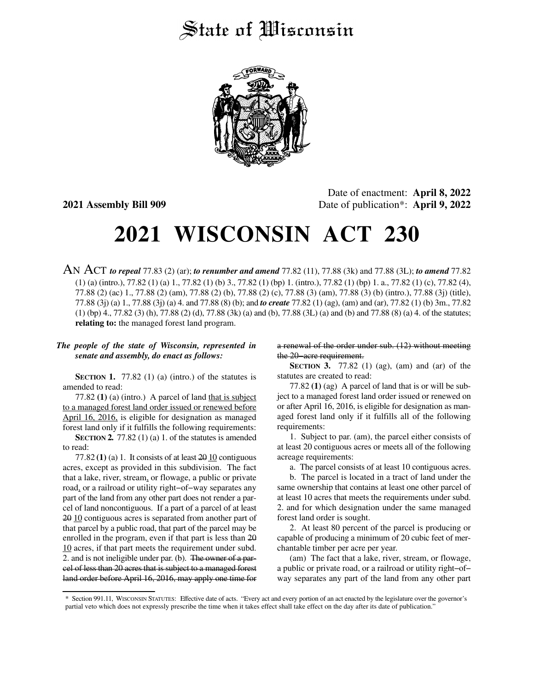## State of *Wisconsin*



Date of enactment: **April 8, 2022 2021 Assembly Bill 909** Date of publication\*: **April 9, 2022**

## **2021 WISCONSIN ACT 230**

AN ACT *to repeal* 77.83 (2) (ar); *to renumber and amend* 77.82 (11), 77.88 (3k) and 77.88 (3L); *to amend* 77.82 (1) (a) (intro.), 77.82 (1) (a) 1., 77.82 (1) (b) 3., 77.82 (1) (bp) 1. (intro.), 77.82 (1) (bp) 1. a., 77.82 (1) (c), 77.82 (4), 77.88 (2) (ac) 1., 77.88 (2) (am), 77.88 (2) (b), 77.88 (2) (c), 77.88 (3) (am), 77.88 (3) (b) (intro.), 77.88 (3j) (title), 77.88 (3j) (a) 1., 77.88 (3j) (a) 4. and 77.88 (8) (b); and *to create* 77.82 (1) (ag), (am) and (ar), 77.82 (1) (b) 3m., 77.82 (1) (bp) 4., 77.82 (3) (h), 77.88 (2) (d), 77.88 (3k) (a) and (b), 77.88 (3L) (a) and (b) and 77.88 (8) (a) 4. of the statutes; **relating to:** the managed forest land program.

## *The people of the state of Wisconsin, represented in senate and assembly, do enact as follows:*

**SECTION 1.** 77.82 (1) (a) (intro.) of the statutes is amended to read:

77.82 **(1)** (a) (intro.) A parcel of land that is subject to a managed forest land order issued or renewed before April 16, 2016, is eligible for designation as managed forest land only if it fulfills the following requirements:

**SECTION 2.** 77.82 (1) (a) 1. of the statutes is amended to read:

77.82 $(1)$  (a) 1. It consists of at least  $20 \underline{10}$  contiguous acres, except as provided in this subdivision. The fact that a lake, river, stream, or flowage, a public or private road, or a railroad or utility right−of−way separates any part of the land from any other part does not render a parcel of land noncontiguous. If a part of a parcel of at least 20 10 contiguous acres is separated from another part of that parcel by a public road, that part of the parcel may be enrolled in the program, even if that part is less than 20 10 acres, if that part meets the requirement under subd. 2. and is not ineligible under par. (b). The owner of a parcel of less than 20 acres that is subject to a managed forest land order before April 16, 2016, may apply one time for

a renewal of the order under sub. (12) without meeting the 20−acre requirement.

**SECTION 3.** 77.82 (1) (ag), (am) and (ar) of the statutes are created to read:

77.82 **(1)** (ag) A parcel of land that is or will be subject to a managed forest land order issued or renewed on or after April 16, 2016, is eligible for designation as managed forest land only if it fulfills all of the following requirements:

1. Subject to par. (am), the parcel either consists of at least 20 contiguous acres or meets all of the following acreage requirements:

a. The parcel consists of at least 10 contiguous acres.

b. The parcel is located in a tract of land under the same ownership that contains at least one other parcel of at least 10 acres that meets the requirements under subd. 2. and for which designation under the same managed forest land order is sought.

2. At least 80 percent of the parcel is producing or capable of producing a minimum of 20 cubic feet of merchantable timber per acre per year.

(am) The fact that a lake, river, stream, or flowage, a public or private road, or a railroad or utility right−of− way separates any part of the land from any other part

<sup>\*</sup> Section 991.11, WISCONSIN STATUTES: Effective date of acts. "Every act and every portion of an act enacted by the legislature over the governor's partial veto which does not expressly prescribe the time when it takes effect shall take effect on the day after its date of publication."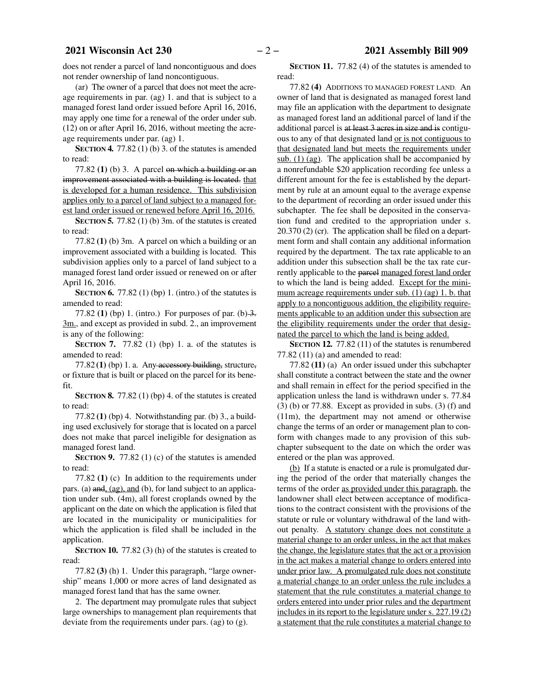does not render a parcel of land noncontiguous and does not render ownership of land noncontiguous.

(ar) The owner of a parcel that does not meet the acreage requirements in par. (ag) 1. and that is subject to a managed forest land order issued before April 16, 2016, may apply one time for a renewal of the order under sub. (12) on or after April 16, 2016, without meeting the acreage requirements under par. (ag) 1.

**SECTION 4.** 77.82 (1) (b) 3. of the statutes is amended to read:

77.82 **(1)** (b) 3. A parcel on which a building or an improvement associated with a building is located. that is developed for a human residence. This subdivision applies only to a parcel of land subject to a managed forest land order issued or renewed before April 16, 2016.

**SECTION 5.** 77.82 (1) (b) 3m. of the statutes is created to read:

77.82 **(1)** (b) 3m. A parcel on which a building or an improvement associated with a building is located. This subdivision applies only to a parcel of land subject to a managed forest land order issued or renewed on or after April 16, 2016.

**SECTION 6.** 77.82 (1) (bp) 1. (intro.) of the statutes is amended to read:

77.82 **(1)** (bp) 1. (intro.) For purposes of par. (b)  $\frac{3}{2}$ . 3m., and except as provided in subd. 2., an improvement is any of the following:

**SECTION 7.** 77.82 (1) (bp) 1. a. of the statutes is amended to read:

77.82 **(1)** (bp) 1. a. Any accessory building, structure, or fixture that is built or placed on the parcel for its benefit.

**SECTION 8.** 77.82 (1) (bp) 4. of the statutes is created to read:

77.82 **(1)** (bp) 4. Notwithstanding par. (b) 3., a building used exclusively for storage that is located on a parcel does not make that parcel ineligible for designation as managed forest land.

**SECTION 9.** 77.82 (1) (c) of the statutes is amended to read:

77.82 **(1)** (c) In addition to the requirements under pars. (a) and, (ag), and (b), for land subject to an application under sub. (4m), all forest croplands owned by the applicant on the date on which the application is filed that are located in the municipality or municipalities for which the application is filed shall be included in the application.

**SECTION 10.** 77.82 (3) (h) of the statutes is created to read:

77.82 **(3)** (h) 1. Under this paragraph, "large ownership" means 1,000 or more acres of land designated as managed forest land that has the same owner.

2. The department may promulgate rules that subject large ownerships to management plan requirements that deviate from the requirements under pars. (ag) to (g).

**SECTION 11.** 77.82 (4) of the statutes is amended to read:

77.82 **(4)** ADDITIONS TO MANAGED FOREST LAND. An owner of land that is designated as managed forest land may file an application with the department to designate as managed forest land an additional parcel of land if the additional parcel is at least 3 acres in size and is contiguous to any of that designated land or is not contiguous to that designated land but meets the requirements under sub. (1) (ag). The application shall be accompanied by a nonrefundable \$20 application recording fee unless a different amount for the fee is established by the department by rule at an amount equal to the average expense to the department of recording an order issued under this subchapter. The fee shall be deposited in the conservation fund and credited to the appropriation under s. 20.370 (2) (cr). The application shall be filed on a department form and shall contain any additional information required by the department. The tax rate applicable to an addition under this subsection shall be the tax rate currently applicable to the parcel managed forest land order to which the land is being added. Except for the minimum acreage requirements under sub. (1) (ag) 1. b. that apply to a noncontiguous addition, the eligibility requirements applicable to an addition under this subsection are the eligibility requirements under the order that designated the parcel to which the land is being added.

**SECTION 12.** 77.82 (11) of the statutes is renumbered 77.82 (11) (a) and amended to read:

77.82 **(11)** (a) An order issued under this subchapter shall constitute a contract between the state and the owner and shall remain in effect for the period specified in the application unless the land is withdrawn under s. 77.84  $(3)$  (b) or 77.88. Except as provided in subs.  $(3)$  (f) and (11m), the department may not amend or otherwise change the terms of an order or management plan to conform with changes made to any provision of this subchapter subsequent to the date on which the order was entered or the plan was approved.

(b) If a statute is enacted or a rule is promulgated during the period of the order that materially changes the terms of the order as provided under this paragraph, the landowner shall elect between acceptance of modifications to the contract consistent with the provisions of the statute or rule or voluntary withdrawal of the land without penalty. A statutory change does not constitute a material change to an order unless, in the act that makes the change, the legislature states that the act or a provision in the act makes a material change to orders entered into under prior law. A promulgated rule does not constitute a material change to an order unless the rule includes a statement that the rule constitutes a material change to orders entered into under prior rules and the department includes in its report to the legislature under s. 227.19 (2) a statement that the rule constitutes a material change to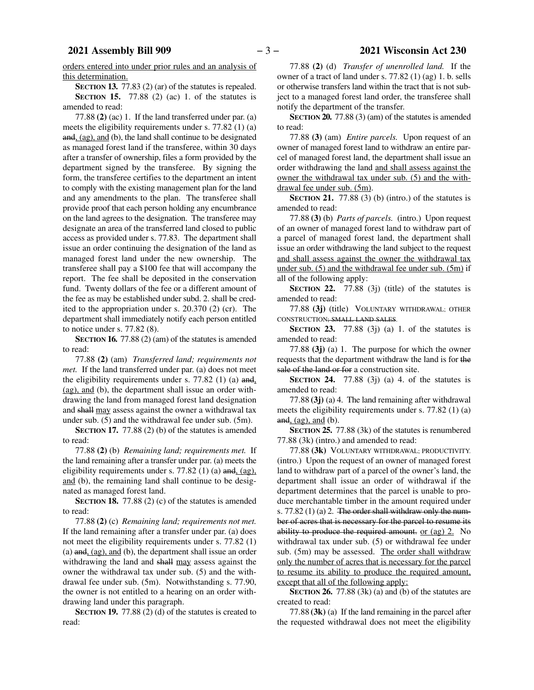orders entered into under prior rules and an analysis of this determination.

**SECTION 13.** 77.83 (2) (ar) of the statutes is repealed. **SECTION 15.** 77.88 (2) (ac) 1. of the statutes is amended to read:

77.88 **(2)** (ac) 1. If the land transferred under par. (a) meets the eligibility requirements under s. 77.82 (1) (a) and, (ag), and (b), the land shall continue to be designated as managed forest land if the transferee, within 30 days after a transfer of ownership, files a form provided by the department signed by the transferee. By signing the form, the transferee certifies to the department an intent to comply with the existing management plan for the land and any amendments to the plan. The transferee shall provide proof that each person holding any encumbrance on the land agrees to the designation. The transferee may designate an area of the transferred land closed to public access as provided under s. 77.83. The department shall issue an order continuing the designation of the land as managed forest land under the new ownership. The transferee shall pay a \$100 fee that will accompany the report. The fee shall be deposited in the conservation fund. Twenty dollars of the fee or a different amount of the fee as may be established under subd. 2. shall be credited to the appropriation under s. 20.370 (2) (cr). The department shall immediately notify each person entitled to notice under s. 77.82 (8).

**SECTION 16.** 77.88 (2) (am) of the statutes is amended to read:

77.88 **(2)** (am) *Transferred land; requirements not met.* If the land transferred under par. (a) does not meet the eligibility requirements under s. 77.82 (1) (a) and, (ag), and (b), the department shall issue an order withdrawing the land from managed forest land designation and shall may assess against the owner a withdrawal tax under sub. (5) and the withdrawal fee under sub. (5m).

**SECTION 17.** 77.88 (2) (b) of the statutes is amended to read:

77.88 **(2)** (b) *Remaining land; requirements met.* If the land remaining after a transfer under par. (a) meets the eligibility requirements under s. 77.82 (1) (a)  $\text{and, (ag)}$ , and (b), the remaining land shall continue to be designated as managed forest land.

**SECTION 18.** 77.88 (2) (c) of the statutes is amended to read:

77.88 **(2)** (c) *Remaining land; requirements not met.* If the land remaining after a transfer under par. (a) does not meet the eligibility requirements under s. 77.82 (1) (a) and, (ag), and (b), the department shall issue an order withdrawing the land and shall may assess against the owner the withdrawal tax under sub. (5) and the withdrawal fee under sub. (5m). Notwithstanding s. 77.90, the owner is not entitled to a hearing on an order withdrawing land under this paragraph.

**SECTION 19.** 77.88 (2) (d) of the statutes is created to read:

77.88 **(2)** (d) *Transfer of unenrolled land.* If the owner of a tract of land under s. 77.82 (1) (ag) 1. b. sells or otherwise transfers land within the tract that is not subject to a managed forest land order, the transferee shall notify the department of the transfer.

**SECTION 20.** 77.88 (3) (am) of the statutes is amended to read:

77.88 **(3)** (am) *Entire parcels.* Upon request of an owner of managed forest land to withdraw an entire parcel of managed forest land, the department shall issue an order withdrawing the land and shall assess against the owner the withdrawal tax under sub. (5) and the withdrawal fee under sub. (5m).

**SECTION 21.** 77.88 (3) (b) (intro.) of the statutes is amended to read:

77.88 **(3)** (b) *Parts of parcels.* (intro.) Upon request of an owner of managed forest land to withdraw part of a parcel of managed forest land, the department shall issue an order withdrawing the land subject to the request and shall assess against the owner the withdrawal tax under sub. (5) and the withdrawal fee under sub. (5m) if all of the following apply:

**SECTION 22.** 77.88 (3j) (title) of the statutes is amended to read:

77.88 **(3j)** (title) VOLUNTARY WITHDRAWAL; OTHER CONSTRUCTION; SMALL LAND SALES.

**SECTION 23.** 77.88 (3j) (a) 1. of the statutes is amended to read:

77.88 **(3j)** (a) 1. The purpose for which the owner requests that the department withdraw the land is for the sale of the land or for a construction site.

**SECTION 24.** 77.88 (3j) (a) 4. of the statutes is amended to read:

77.88 **(3j)** (a) 4. The land remaining after withdrawal meets the eligibility requirements under s. 77.82 (1) (a) and,  $(ag)$ , and  $(b)$ .

**SECTION 25.** 77.88 (3k) of the statutes is renumbered 77.88 (3k) (intro.) and amended to read:

77.88 **(3k)** VOLUNTARY WITHDRAWAL; PRODUCTIVITY. (intro.) Upon the request of an owner of managed forest land to withdraw part of a parcel of the owner's land, the department shall issue an order of withdrawal if the department determines that the parcel is unable to produce merchantable timber in the amount required under s.  $77.82(1)(a)$  2. The order shall withdraw only the number of acres that is necessary for the parcel to resume its ability to produce the required amount. or (ag) 2. No withdrawal tax under sub. (5) or withdrawal fee under sub. (5m) may be assessed. The order shall withdraw only the number of acres that is necessary for the parcel to resume its ability to produce the required amount, except that all of the following apply:

**SECTION 26.** 77.88 (3k) (a) and (b) of the statutes are created to read:

77.88 **(3k)** (a) If the land remaining in the parcel after the requested withdrawal does not meet the eligibility